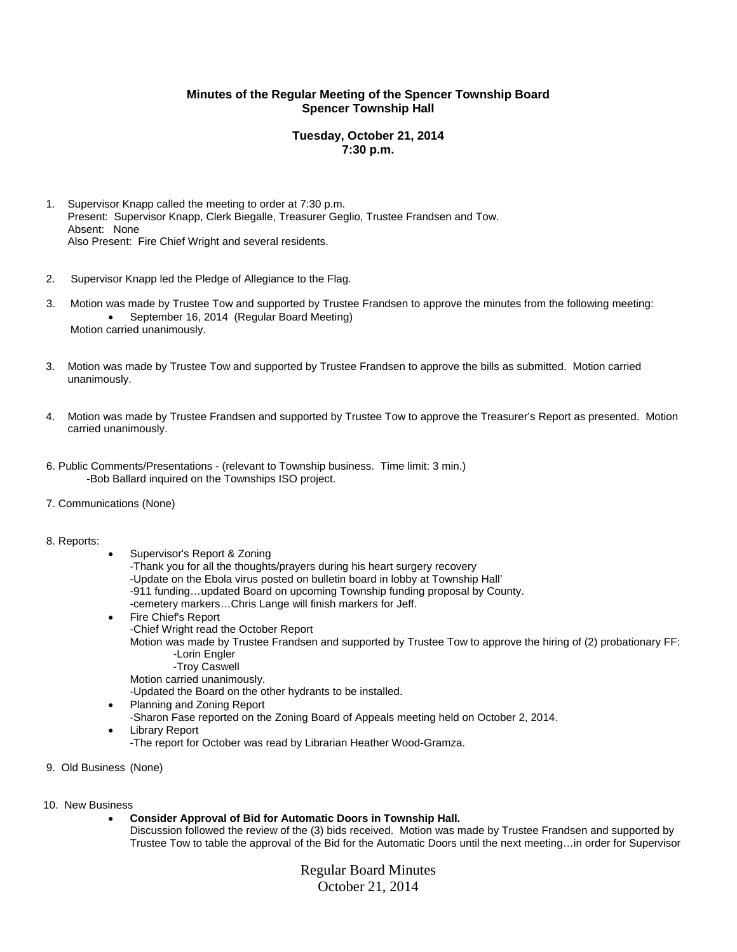## **Minutes of the Regular Meeting of the Spencer Township Board Spencer Township Hall**

## **Tuesday, October 21, 2014 7:30 p.m.**

- 1. Supervisor Knapp called the meeting to order at 7:30 p.m. Present: Supervisor Knapp, Clerk Biegalle, Treasurer Geglio, Trustee Frandsen and Tow. Absent: None Also Present: Fire Chief Wright and several residents.
- 2. Supervisor Knapp led the Pledge of Allegiance to the Flag.
- 3. Motion was made by Trustee Tow and supported by Trustee Frandsen to approve the minutes from the following meeting: September 16, 2014 (Regular Board Meeting) Motion carried unanimously.
- 3. Motion was made by Trustee Tow and supported by Trustee Frandsen to approve the bills as submitted. Motion carried unanimously.
- 4. Motion was made by Trustee Frandsen and supported by Trustee Tow to approve the Treasurer's Report as presented. Motion carried unanimously.
- 6. Public Comments/Presentations (relevant to Township business. Time limit: 3 min.) -Bob Ballard inquired on the Townships ISO project.
- 7. Communications (None)

## 8. Reports:

- Supervisor's Report & Zoning
	- -Thank you for all the thoughts/prayers during his heart surgery recovery -Update on the Ebola virus posted on bulletin board in lobby at Township Hall' -911 funding…updated Board on upcoming Township funding proposal by County. -cemetery markers…Chris Lange will finish markers for Jeff.
- Fire Chief's Report -Chief Wright read the October Report Motion was made by Trustee Frandsen and supported by Trustee Tow to approve the hiring of (2) probationary FF: -Lorin Engler -Troy Caswell

Motion carried unanimously.

-Updated the Board on the other hydrants to be installed.

- Planning and Zoning Report
	- -Sharon Fase reported on the Zoning Board of Appeals meeting held on October 2, 2014.
- Library Report -The report for October was read by Librarian Heather Wood-Gramza.
- 9. Old Business (None)

## 10. New Business

**Consider Approval of Bid for Automatic Doors in Township Hall.** 

Discussion followed the review of the (3) bids received. Motion was made by Trustee Frandsen and supported by Trustee Tow to table the approval of the Bid for the Automatic Doors until the next meeting…in order for Supervisor

> Regular Board Minutes October 21, 2014